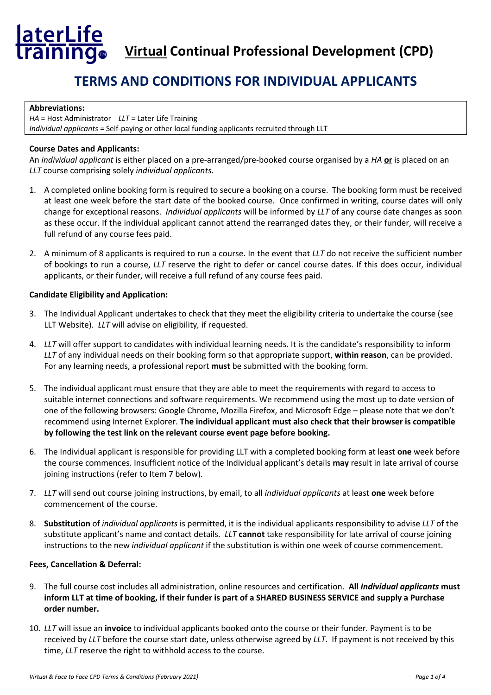# **laterLife**<br>Iraining.

 **Virtual Continual Professional Development (CPD)**

## **TERMS AND CONDITIONS FOR INDIVIDUAL APPLICANTS**

## **Abbreviations:**

*HA* = Host Administrator *LLT* = Later Life Training *Individual applicants* = Self-paying or other local funding applicants recruited through LLT

## **Course Dates and Applicants:**

An *individual applicant* is either placed on a pre-arranged/pre-booked course organised by a *HA* **or** is placed on an *LLT* course comprising solely *individual applicants*.

- 1. A completed online booking form is required to secure a booking on a course. The booking form must be received at least one week before the start date of the booked course. Once confirmed in writing, course dates will only change for exceptional reasons. *Individual applicants* will be informed by *LLT* of any course date changes as soon as these occur. If the individual applicant cannot attend the rearranged dates they, or their funder, will receive a full refund of any course fees paid.
- 2. A minimum of 8 applicants is required to run a course. In the event that *LLT* do not receive the sufficient number of bookings to run a course, *LLT* reserve the right to defer or cancel course dates. If this does occur, individual applicants, or their funder, will receive a full refund of any course fees paid.

## **Candidate Eligibility and Application:**

- 3. The Individual Applicant undertakes to check that they meet the eligibility criteria to undertake the course (see LLT Website). *LLT* will advise on eligibility*,* if requested.
- 4. *LLT* will offer support to candidates with individual learning needs. It is the candidate's responsibility to inform *LLT* of any individual needs on their booking form so that appropriate support, **within reason**, can be provided. For any learning needs, a professional report **must** be submitted with the booking form.
- 5. The individual applicant must ensure that they are able to meet the requirements with regard to access to suitable internet connections and software requirements. We recommend using the most up to date version of one of the following browsers: Google Chrome, Mozilla Firefox, and Microsoft Edge – please note that we don't recommend using Internet Explorer. **The individual applicant must also check that their browser is compatible by following the test link on the relevant course event page before booking.**
- 6. The Individual applicant is responsible for providing LLT with a completed booking form at least **one** week before the course commences. Insufficient notice of the Individual applicant's details **may** result in late arrival of course joining instructions (refer to Item 7 below).
- 7. *LLT* will send out course joining instructions, by email, to all *individual applicants* at least **one** week before commencement of the course.
- 8. **Substitution** of *individual applicants* is permitted, it is the individual applicants responsibility to advise *LLT* of the substitute applicant's name and contact details. *LLT* **cannot** take responsibility for late arrival of course joining instructions to the new *individual applicant* if the substitution is within one week of course commencement.

## **Fees, Cancellation & Deferral:**

- 9. The full course cost includes all administration, online resources and certification. **All** *Individual applicants* **must inform LLT at time of booking, if their funder is part of a SHARED BUSINESS SERVICE and supply a Purchase order number.**
- 10. *LLT* will issue an **invoice** to individual applicants booked onto the course or their funder. Payment is to be received by *LLT* before the course start date, unless otherwise agreed by *LLT*. If payment is not received by this time, *LLT* reserve the right to withhold access to the course.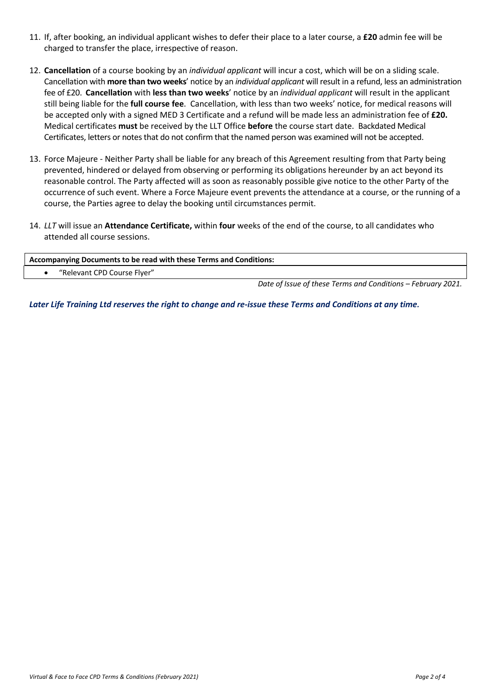- 11. If, after booking, an individual applicant wishes to defer their place to a later course, a **£20** admin fee will be charged to transfer the place, irrespective of reason.
- 12. **Cancellation** of a course booking by an *individual applicant* will incur a cost, which will be on a sliding scale. Cancellation with **more than two weeks**' notice by an *individual applicant* will result in a refund, less an administration fee of £20. **Cancellation** with **less than two weeks**' notice by an *individual applicant* will result in the applicant still being liable for the **full course fee**. Cancellation, with less than two weeks' notice, for medical reasons will be accepted only with a signed MED 3 Certificate and a refund will be made less an administration fee of **£20.** Medical certificates **must** be received by the LLT Office **before** the course start date. Backdated Medical Certificates, letters or notes that do not confirm that the named person was examined will not be accepted.
- 13. Force Majeure Neither Party shall be liable for any breach of this Agreement resulting from that Party being prevented, hindered or delayed from observing or performing its obligations hereunder by an act beyond its reasonable control. The Party affected will as soon as reasonably possible give notice to the other Party of the occurrence of such event. Where a Force Majeure event prevents the attendance at a course, or the running of a course, the Parties agree to delay the booking until circumstances permit.
- 14. *LLT* will issue an **Attendance Certificate,** within **four** weeks of the end of the course, to all candidates who attended all course sessions.

| Accompanying Documents to be read with these Terms and Conditions: |  |
|--------------------------------------------------------------------|--|
| "Relevant CPD Course Flyer"                                        |  |
|                                                                    |  |

*Date of Issue of these Terms and Conditions – February 2021.* 

*Later Life Training Ltd reserves the right to change and re-issue these Terms and Conditions at any time.*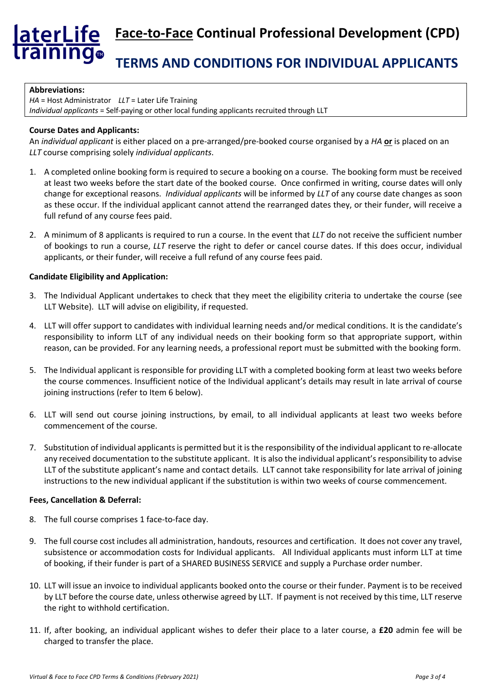## aterLife **Face-to-Face Continual Professional Development (CPD)** aining. **TERMS AND CONDITIONS FOR INDIVIDUAL APPLICANTS**

#### **Abbreviations:**

*HA* = Host Administrator *LLT* = Later Life Training *Individual applicants* = Self-paying or other local funding applicants recruited through LLT

## **Course Dates and Applicants:**

An *individual applicant* is either placed on a pre-arranged/pre-booked course organised by a *HA* **or** is placed on an *LLT* course comprising solely *individual applicants*.

- 1. A completed online booking form is required to secure a booking on a course. The booking form must be received at least two weeks before the start date of the booked course. Once confirmed in writing, course dates will only change for exceptional reasons. *Individual applicants* will be informed by *LLT* of any course date changes as soon as these occur. If the individual applicant cannot attend the rearranged dates they, or their funder, will receive a full refund of any course fees paid.
- 2. A minimum of 8 applicants is required to run a course. In the event that *LLT* do not receive the sufficient number of bookings to run a course, *LLT* reserve the right to defer or cancel course dates. If this does occur, individual applicants, or their funder, will receive a full refund of any course fees paid.

## **Candidate Eligibility and Application:**

- 3. The Individual Applicant undertakes to check that they meet the eligibility criteria to undertake the course (see LLT Website). LLT will advise on eligibility, if requested.
- 4. LLT will offer support to candidates with individual learning needs and/or medical conditions. It is the candidate's responsibility to inform LLT of any individual needs on their booking form so that appropriate support, within reason, can be provided. For any learning needs, a professional report must be submitted with the booking form.
- 5. The Individual applicant is responsible for providing LLT with a completed booking form at least two weeks before the course commences. Insufficient notice of the Individual applicant's details may result in late arrival of course joining instructions (refer to Item 6 below).
- 6. LLT will send out course joining instructions, by email, to all individual applicants at least two weeks before commencement of the course.
- 7. Substitution of individual applicants is permitted but it is the responsibility of the individual applicant to re-allocate any received documentation to the substitute applicant. It is also the individual applicant'sresponsibility to advise LLT of the substitute applicant's name and contact details. LLT cannot take responsibility for late arrival of joining instructions to the new individual applicant if the substitution is within two weeks of course commencement.

## **Fees, Cancellation & Deferral:**

- 8. The full course comprises 1 face-to-face day.
- 9. The full course cost includes all administration, handouts, resources and certification. It does not cover any travel, subsistence or accommodation costs for Individual applicants. All Individual applicants must inform LLT at time of booking, if their funder is part of a SHARED BUSINESS SERVICE and supply a Purchase order number.
- 10. LLT will issue an invoice to individual applicants booked onto the course or their funder. Payment is to be received by LLT before the course date, unless otherwise agreed by LLT. If payment is not received by this time, LLT reserve the right to withhold certification.
- 11. If, after booking, an individual applicant wishes to defer their place to a later course, a **£20** admin fee will be charged to transfer the place.